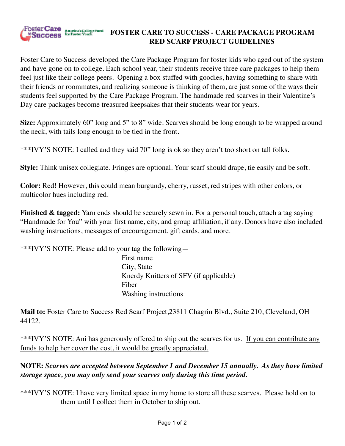

Foster Care to Success developed the Care Package Program for foster kids who aged out of the system and have gone on to college. Each school year, their students receive three care packages to help them feel just like their college peers. Opening a box stuffed with goodies, having something to share with their friends or roommates, and realizing someone is thinking of them, are just some of the ways their students feel supported by the Care Package Program. The handmade red scarves in their Valentine's Day care packages become treasured keepsakes that their students wear for years.

**Size:** Approximately 60" long and 5" to 8" wide. Scarves should be long enough to be wrapped around the neck, with tails long enough to be tied in the front.

\*\*\*IVY'S NOTE: I called and they said 70" long is ok so they aren't too short on tall folks.

**Style:** Think unisex collegiate. Fringes are optional. Your scarf should drape, tie easily and be soft.

**Color:** Red! However, this could mean burgundy, cherry, russet, red stripes with other colors, or multicolor hues including red.

**Finished & tagged:** Yarn ends should be securely sewn in. For a personal touch, attach a tag saying "Handmade for You" with your first name, city, and group affiliation, if any. Donors have also included washing instructions, messages of encouragement, gift cards, and more.

\*\*\*IVY'S NOTE: Please add to your tag the following—

First name City, State Knerdy Knitters of SFV (if applicable) Fiber Washing instructions

**Mail to:** Foster Care to Success Red Scarf Project,23811 Chagrin Blvd., Suite 210, Cleveland, OH 44122.

\*\*\*IVY'S NOTE: Ani has generously offered to ship out the scarves for us. If you can contribute any funds to help her cover the cost, it would be greatly appreciated.

## **NOTE:** *Scarves are accepted between September 1 and December 15 annually. As they have limited storage space, you may only send your scarves only during this time period.*

\*\*\*IVY'S NOTE: I have very limited space in my home to store all these scarves. Please hold on to them until I collect them in October to ship out.